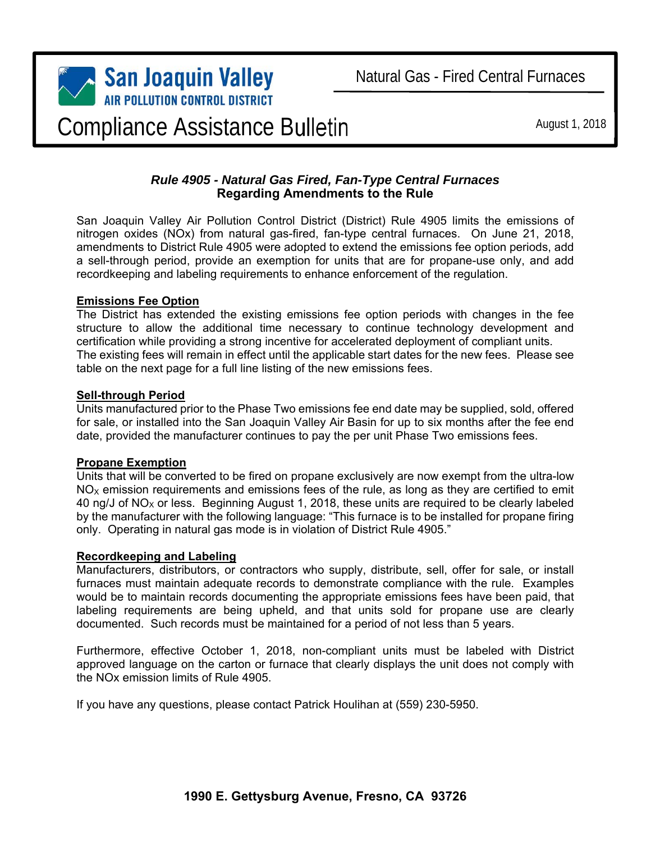

# Compliance Assistance Bulletin

August 1, 2018

# *Rule 4905 - Natural Gas Fired, Fan-Type Central Furnaces*  **Regarding Amendments to the Rule**

San Joaquin Valley Air Pollution Control District (District) Rule 4905 limits the emissions of nitrogen oxides (NOx) from natural gas-fired, fan-type central furnaces. On June 21, 2018, amendments to District Rule 4905 were adopted to extend the emissions fee option periods, add a sell-through period, provide an exemption for units that are for propane-use only, and add recordkeeping and labeling requirements to enhance enforcement of the regulation.

# **Emissions Fee Option**

The District has extended the existing emissions fee option periods with changes in the fee structure to allow the additional time necessary to continue technology development and certification while providing a strong incentive for accelerated deployment of compliant units. The existing fees will remain in effect until the applicable start dates for the new fees. Please see table on the next page for a full line listing of the new emissions fees.

#### **Sell-through Period**

Units manufactured prior to the Phase Two emissions fee end date may be supplied, sold, offered for sale, or installed into the San Joaquin Valley Air Basin for up to six months after the fee end date, provided the manufacturer continues to pay the per unit Phase Two emissions fees.

# **Propane Exemption**

Units that will be converted to be fired on propane exclusively are now exempt from the ultra-low  $NO<sub>X</sub>$  emission requirements and emissions fees of the rule, as long as they are certified to emit 40 ng/J of NO<sub>x</sub> or less. Beginning August 1, 2018, these units are required to be clearly labeled by the manufacturer with the following language: "This furnace is to be installed for propane firing only. Operating in natural gas mode is in violation of District Rule 4905."

# **Recordkeeping and Labeling**

Manufacturers, distributors, or contractors who supply, distribute, sell, offer for sale, or install furnaces must maintain adequate records to demonstrate compliance with the rule. Examples would be to maintain records documenting the appropriate emissions fees have been paid, that labeling requirements are being upheld, and that units sold for propane use are clearly documented. Such records must be maintained for a period of not less than 5 years.

Furthermore, effective October 1, 2018, non-compliant units must be labeled with District approved language on the carton or furnace that clearly displays the unit does not comply with the NOx emission limits of Rule 4905.

If you have any questions, please contact Patrick Houlihan at (559) 230-5950.